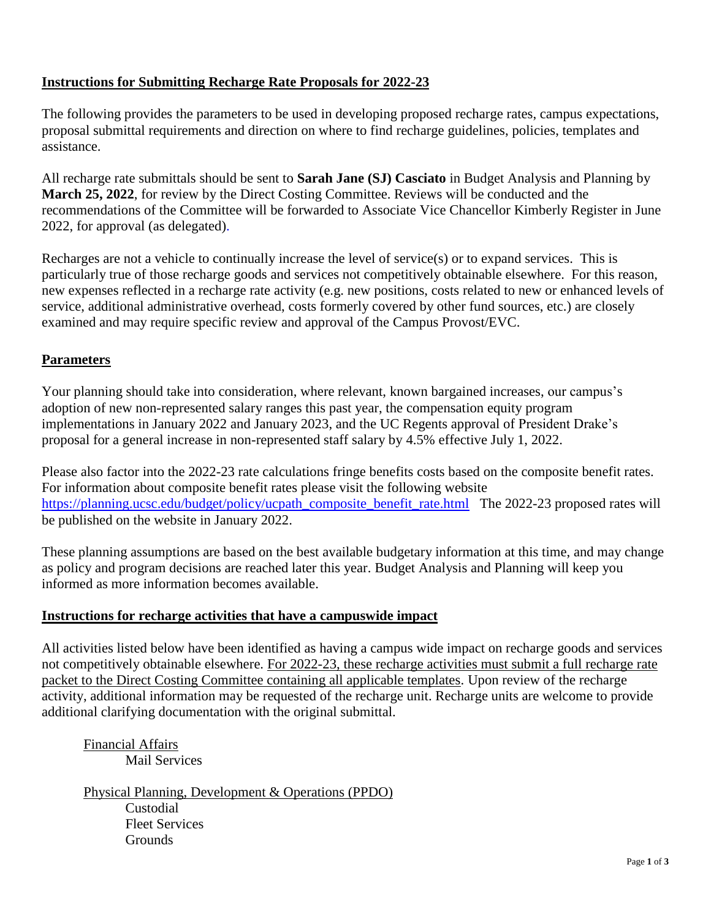# **Instructions for Submitting Recharge Rate Proposals for 2022-23**

The following provides the parameters to be used in developing proposed recharge rates, campus expectations, proposal submittal requirements and direction on where to find recharge guidelines, policies, templates and assistance.

All recharge rate submittals should be sent to **Sarah Jane (SJ) Casciato** in Budget Analysis and Planning by **March 25, 2022**, for review by the Direct Costing Committee. Reviews will be conducted and the recommendations of the Committee will be forwarded to Associate Vice Chancellor Kimberly Register in June 2022, for approval (as delegated).

Recharges are not a vehicle to continually increase the level of service(s) or to expand services. This is particularly true of those recharge goods and services not competitively obtainable elsewhere. For this reason, new expenses reflected in a recharge rate activity (e.g. new positions, costs related to new or enhanced levels of service, additional administrative overhead, costs formerly covered by other fund sources, etc.) are closely examined and may require specific review and approval of the Campus Provost/EVC.

# **Parameters**

Your planning should take into consideration, where relevant, known bargained increases, our campus's adoption of new non-represented salary ranges this past year, the compensation equity program implementations in January 2022 and January 2023, and the UC Regents approval of President Drake's proposal for a general increase in non-represented staff salary by 4.5% effective July 1, 2022.

Please also factor into the 2022-23 rate calculations fringe benefits costs based on the composite benefit rates. For information about composite benefit rates please visit the following website [https://planning.ucsc.edu/budget/policy/ucpath\\_composite\\_benefit\\_rate.html](https://planning.ucsc.edu/budget/policy/ucpath_composite_benefit_rate.html) The 2022-23 proposed rates will be published on the website in January 2022.

These planning assumptions are based on the best available budgetary information at this time, and may change as policy and program decisions are reached later this year. Budget Analysis and Planning will keep you informed as more information becomes available.

## **Instructions for recharge activities that have a campuswide impact**

All activities listed below have been identified as having a campus wide impact on recharge goods and services not competitively obtainable elsewhere. For 2022-23, these recharge activities must submit a full recharge rate packet to the Direct Costing Committee containing all applicable templates. Upon review of the recharge activity, additional information may be requested of the recharge unit. Recharge units are welcome to provide additional clarifying documentation with the original submittal.

Financial Affairs Mail Services

Physical Planning, Development & Operations (PPDO) Custodial Fleet Services **Grounds**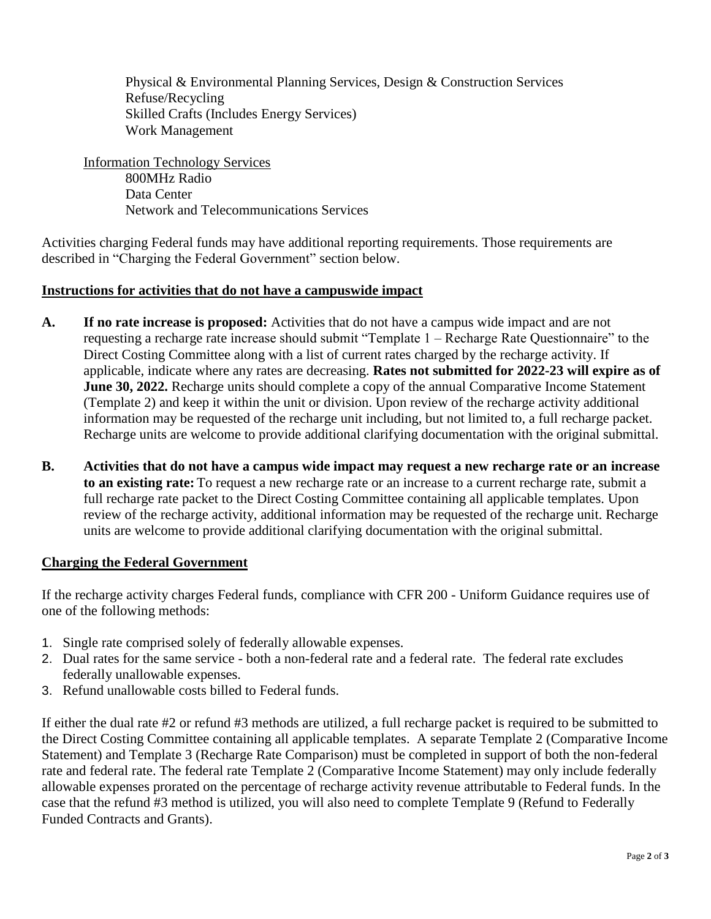Physical & Environmental Planning Services, Design & Construction Services Refuse/Recycling Skilled Crafts (Includes Energy Services) Work Management

Information Technology Services 800MHz Radio Data Center Network and Telecommunications Services

Activities charging Federal funds may have additional reporting requirements. Those requirements are described in "Charging the Federal Government" section below.

### **Instructions for activities that do not have a campuswide impact**

- **A. If no rate increase is proposed:** Activities that do not have a campus wide impact and are not requesting a recharge rate increase should submit "Template 1 – Recharge Rate Questionnaire" to the Direct Costing Committee along with a list of current rates charged by the recharge activity. If applicable, indicate where any rates are decreasing. **Rates not submitted for 2022-23 will expire as of June 30, 2022.** Recharge units should complete a copy of the annual Comparative Income Statement (Template 2) and keep it within the unit or division. Upon review of the recharge activity additional information may be requested of the recharge unit including, but not limited to, a full recharge packet. Recharge units are welcome to provide additional clarifying documentation with the original submittal.
- **B. Activities that do not have a campus wide impact may request a new recharge rate or an increase to an existing rate:** To request a new recharge rate or an increase to a current recharge rate, submit a full recharge rate packet to the Direct Costing Committee containing all applicable templates. Upon review of the recharge activity, additional information may be requested of the recharge unit. Recharge units are welcome to provide additional clarifying documentation with the original submittal.

#### **Charging the Federal Government**

If the recharge activity charges Federal funds, compliance with CFR 200 - Uniform Guidance requires use of one of the following methods:

- 1. Single rate comprised solely of federally allowable expenses.
- 2. Dual rates for the same service both a non-federal rate and a federal rate. The federal rate excludes federally unallowable expenses.
- 3. Refund unallowable costs billed to Federal funds.

If either the dual rate #2 or refund #3 methods are utilized, a full recharge packet is required to be submitted to the Direct Costing Committee containing all applicable templates. A separate Template 2 (Comparative Income Statement) and Template 3 (Recharge Rate Comparison) must be completed in support of both the non-federal rate and federal rate. The federal rate Template 2 (Comparative Income Statement) may only include federally allowable expenses prorated on the percentage of recharge activity revenue attributable to Federal funds. In the case that the refund #3 method is utilized, you will also need to complete Template 9 (Refund to Federally Funded Contracts and Grants).